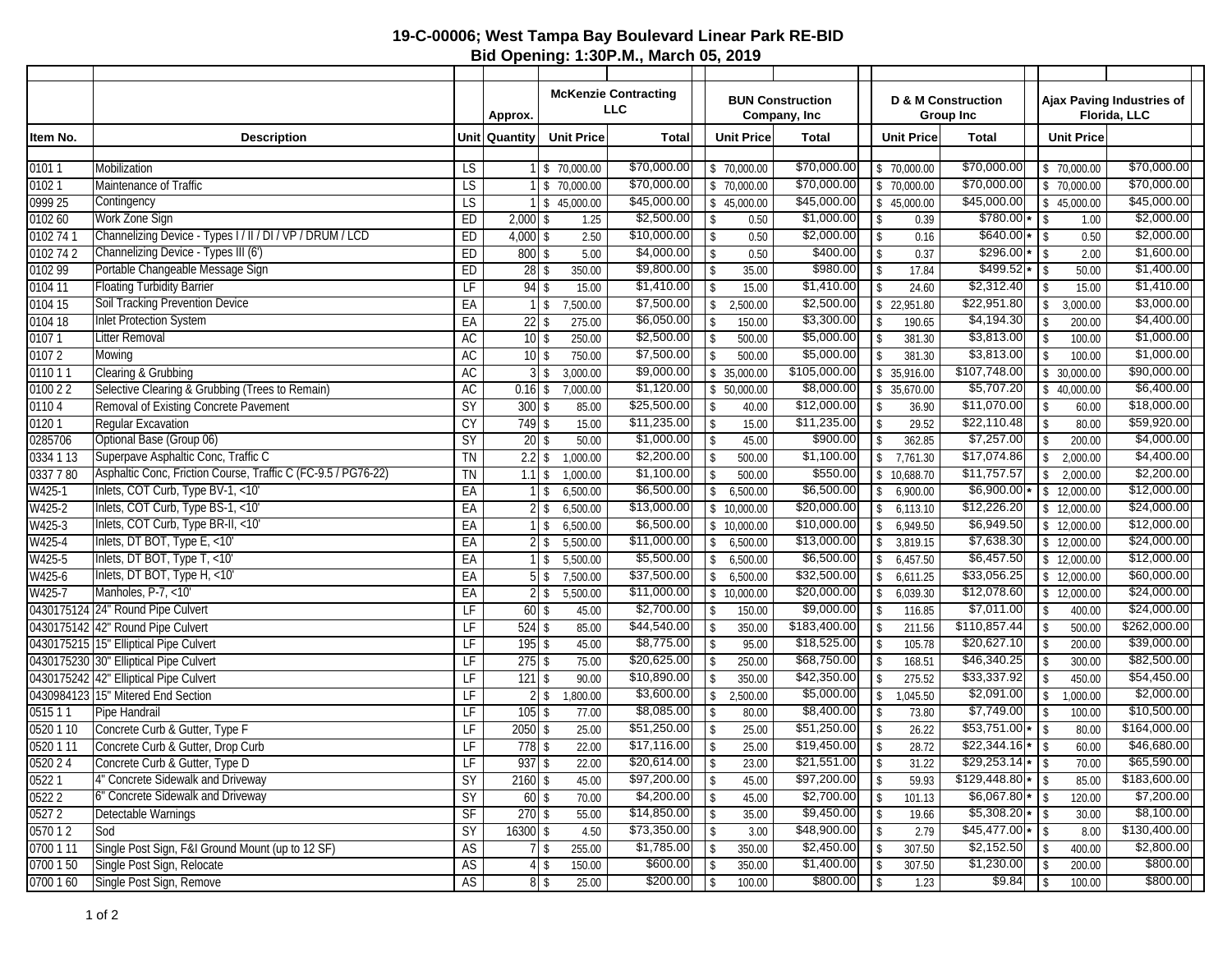## **19-C-00006; West Tampa Bay Boulevard Linear Park RE-BID Bid Opening: 1:30P.M., March 05, 2019**

|                  |                                                               |                 |                   | <b>McKenzie Contracting</b>    |                              |                           | <b>BUN Construction</b><br>Company, Inc |                           |                          |                   |                                                   |                                   |                         |                                           |
|------------------|---------------------------------------------------------------|-----------------|-------------------|--------------------------------|------------------------------|---------------------------|-----------------------------------------|---------------------------|--------------------------|-------------------|---------------------------------------------------|-----------------------------------|-------------------------|-------------------------------------------|
|                  |                                                               | Approx.         |                   |                                | <b>LLC</b>                   |                           |                                         |                           |                          |                   | <b>D &amp; M Construction</b><br><b>Group Inc</b> |                                   |                         | Ajax Paving Industries of<br>Florida, LLC |
| Item No.         | <b>Description</b>                                            | Unit   Quantity |                   | <b>Unit Price</b>              | <b>Total</b>                 |                           | <b>Unit Price</b>                       | <b>Total</b>              |                          | <b>Unit Price</b> | <b>Total</b>                                      |                                   | <b>Unit Price</b>       |                                           |
|                  |                                                               |                 |                   |                                |                              |                           |                                         |                           |                          |                   |                                                   |                                   |                         |                                           |
| 01011            | Mobilization                                                  | LS              |                   | \$70,000.00                    | \$70,000.00                  |                           | \$70,000.00                             | \$70,000.00               |                          | \$70,000.00       | \$70,000.00                                       |                                   | $\frac{1}{2}$ 70,000.00 | \$70,000.00                               |
| 01021            | Maintenance of Traffic                                        | LS              |                   | \$70,000.00                    | \$70,000.00                  |                           | \$70,000.00                             | \$70,000.00               |                          | \$70,000.00       | \$70,000.00                                       |                                   | \$70,000.00             | \$70,000.00                               |
| 0999 25          | Contingency                                                   | LS              |                   | \$45,000.00                    | \$45,000.00                  |                           | $\frac{1}{2}$ 45,000.00                 | \$45,000.00               |                          | \$45,000.00       | \$45,000.00                                       | \$                                | 45,000.00               | \$45,000.00                               |
| 010260           | Work Zone Sign                                                | ED              | $2,000$ \$        | 1.25                           | \$2,500.00                   | <b>S</b>                  | 0.50                                    | \$1,000.00                | $\sqrt{S}$               | 0.39              |                                                   |                                   | 1.00                    | \$2,000.00                                |
| 0102 74 1        | Channelizing Device - Types I / II / DI / VP / DRUM / LCD     | ED              | $4,000$ \$        | 2.50                           | \$10,000.00                  | \$                        | 0.50                                    | \$2,000.00                | $\sqrt{2}$               | 0.16              | $$640.00*$ \ \$                                   |                                   | 0.50                    | \$2,000.00                                |
| 0102 74 2        | Channelizing Device - Types III (6')                          | ED              | 800               | $\mathbf{\hat{S}}$<br>5.00     | \$4,000.00                   | \$                        | 0.50                                    | \$400.00                  | \$                       | 0.37              |                                                   |                                   | 2.00                    | \$1,600.00                                |
| 0102 99          | Portable Changeable Message Sign                              | ED              | $28$ \$           | 350.00                         | \$9,800.00                   | $1$ \$                    | 35.00                                   | \$980.00                  | $\sqrt{2}$               | 17.84             | $$499.52*$                                        |                                   | 50.00                   | \$1,400.00                                |
| 0104 11          | <b>Floating Turbidity Barrier</b>                             | LF              | 94                | 15.00<br>-\$                   | \$1,410.00                   | \$                        | 15.00                                   | \$1,410.00                | \$                       | 24.60             | \$2,312.40                                        | \$                                | 15.00                   | \$1,410.00                                |
| 0104 15          | <b>Soil Tracking Prevention Device</b>                        | EA              |                   | 7,500.00<br>\$                 | \$7,500.00                   | $\sqrt{2}$                | 2,500.00                                | \$2,500.00                |                          | \$22,951.80       | \$22,951.80                                       | \$                                | 3,000.00                | \$3,000.00                                |
| 0104 18          | <b>Inlet Protection System</b>                                | EA              | $22$ \$           | 275.00                         | \$6,050.00                   | -\$                       | 150.00                                  | \$3,300.00                | $\mathfrak{L}$           | 190.65            | \$4,194.30                                        | -S                                | 200.00                  | \$4,400.00                                |
| 01071            | <b>Litter Removal</b>                                         | AC              | $10$ $\sqrt{s}$   | 250.00                         | \$2,500.00                   | $\mathbf{\hat{S}}$        | 500.00                                  | \$5,000.00                | $\mathbf{\hat{S}}$       | 381.30            | \$3,813.00                                        | $\mathbf{\hat{S}}$                | 100.00                  | \$1,000.00<br>\$1,000.00                  |
| 01072            | Mowing                                                        | AC              | $10$ \$           | 750.00                         | \$7,500.00                   | \$                        | 500.00                                  | \$5,000.00                | \$                       | 381.30            | \$3,813.00                                        | <b>S</b>                          | 100.00                  |                                           |
| 011011           | Clearing & Grubbing                                           | AC              |                   | 3,000.00                       | \$9,000.00<br>\$1,120.00     | \$                        | 35,000.00                               | \$105,000.00              |                          | \$35,916.00       | \$107,748.00<br>\$5,707.20                        |                                   | \$30,000.00             | \$90,000.00<br>\$6,400.00                 |
| 0100 2 2         | Selective Clearing & Grubbing (Trees to Remain)               | <b>AC</b><br>SY | $0.16$ \$         | 7,000.00                       | \$25,500.00                  |                           | \$50,000.00                             | \$8,000.00<br>\$12,000.00 |                          | \$35,670.00       | \$11,070.00                                       |                                   | \$40.000.00             | \$18,000.00                               |
| 01104            | Removal of Existing Concrete Pavement                         |                 | $300$ \$          | 85.00                          | \$11,235.00                  | $\sqrt{2}$                | 40.00                                   | \$11,235.00               | \$<br>$\mathbf{\hat{S}}$ | 36.90             | \$22,110.48                                       | -\$                               | 60.00                   | \$59,920.00                               |
| 01201<br>0285706 | Regular Excavation<br>Optional Base (Group 06)                | CY<br>SY        | $749$ \$<br>20    | 15.00<br>50.00                 | \$1,000.00                   | -\$<br>$\mathbf{\hat{S}}$ | 15.00                                   | \$900.00                  | $\mathbf{\hat{z}}$       | 29.52<br>362.85   | \$7,257.00                                        | $\mathbf S$<br>$\mathbf{\hat{S}}$ | 80.00<br>200.00         | \$4,000.00                                |
| 0334 1 13        | Superpave Asphaltic Conc, Traffic C                           | <b>TN</b>       | $2.2$ \$          | $\mathsf{\$}$<br>1,000.00      | \$2,200.00                   | $\sqrt{S}$                | 45.00<br>500.00                         | \$1,100.00                | \$                       | 7,761.30          | \$17,074.86                                       | \$                                | 2,000.00                | \$4,400.00                                |
| 0337 7 80        | Asphaltic Conc, Friction Course, Traffic C (FC-9.5 / PG76-22) | TN              | 1.1               | 1,000.00<br>\$                 | \$1,100.00                   | \$                        | 500.00                                  | \$550.00                  |                          | \$10,688.70       | \$11,757.57                                       | \$                                | 2,000.00                | \$2,200.00                                |
| $W425-1$         | Inlets, COT Curb, Type BV-1, <10'                             | EA              |                   | 6,500.00<br>\$                 | \$6,500.00                   | \$                        | 6,500.00                                | \$6,500.00                | $\mathbb{S}$             | 6,900.00          | $\sqrt{$6,900.00}$ *                              |                                   | $\frac{1}{2}$ 12,000.00 | \$12,000.00                               |
| W425-2           | Inlets, COT Curb, Type BS-1, <10'                             | EA              |                   | 6,500.00<br>\$                 | \$13,000.00                  | \$                        | 10,000.00                               | \$20,000.00               | \$                       | 6,113.10          | \$12,226.20                                       |                                   | \$12,000.00             | \$24,000.00                               |
| W425-3           | Inlets, COT Curb, Type BR-II, <10'                            | EA              |                   | 6,500.00<br>$\mathbf{\hat{S}}$ | \$6,500.00                   | \$                        | 10,000.00                               | \$10,000.00               | \$                       | 6,949.50          | \$6,949.50                                        |                                   | \$12,000.00             | \$12,000.00                               |
| W425-4           | Inlets, DT BOT, Type E, <10'                                  | EA              | 2                 | 5,500.00<br>\$                 | \$11,000.00                  | $\mathbb{S}$              | 6,500.00                                | \$13,000.00               | \$                       | 3,819.15          | \$7,638.30                                        |                                   | \$12,000.00             | \$24,000.00                               |
| W425-5           | Inlets, DT BOT, Type T, <10'                                  | EA              |                   | 5,500.00<br>\$                 | \$5,500.00                   | \$                        | 6,500.00                                | \$6,500.00                | \$                       | 6,457.50          | \$6,457.50                                        |                                   | \$12,000.00             | \$12,000.00                               |
| W425-6           | Inlets, DT BOT, Type H, <10'                                  | EA              |                   | 7,500.00                       | \$37,500.00                  | \$                        | 6,500.00                                | \$32,500.00               | \$                       | 6,611.25          | \$33,056.25                                       |                                   | \$12,000.00             | \$60,000.00                               |
| W425-7           | Manholes, P-7, <10'                                           | EA              | $21$ \$           | 5,500.00                       | \$11,000.00                  | $\sqrt{2}$                | 10,000.00                               | \$20,000.00               | \$                       | 6,039.30          | \$12,078.60                                       |                                   | \$12,000.00             | \$24,000.00                               |
|                  | 0430175124 24" Round Pipe Culvert                             | LF              | $60$ \$           | 45.00                          | \$2,700.00                   | -\$                       | 150.00                                  | \$9,000.00                | $\mathbf{\hat{S}}$       | 116.85            | \$7,011.00                                        | -\$                               | 400.00                  | \$24,000.00                               |
|                  | 0430175142 42" Round Pipe Culvert                             | LF              | $524$ \$          | 85.00                          | \$44,540.00                  | $\mathbf{\hat{S}}$        | 350.00                                  | \$183,400.00              |                          | 211.56            | \$110,857.44                                      | Ŝ                                 | 500.00                  | \$262,000.00                              |
|                  | 0430175215 15" Elliptical Pipe Culvert                        | LF              | $195$ \$          | 45.00                          | \$8,775.00                   | $\sqrt{2}$                | 95.00                                   | \$18,525.00               | \$                       | 105.78            | \$20,627.10                                       | l\$                               | 200.00                  | \$39,000.00                               |
|                  | 0430175230 30" Elliptical Pipe Culvert                        | LF              | $275$ \$          | 75.00                          | \$20,625.00                  | \$                        | 250.00                                  | \$68,750.00               | \$                       | 168.51            | \$46,340.25                                       | \$                                | 300.00                  | \$82,500.00                               |
|                  | 0430175242 42" Elliptical Pipe Culvert                        | LF              | 121               | 90.00<br>$\mathsf{\$}$         | \$10,890.00                  | $\mathbf{\hat{S}}$        | 350.00                                  | \$42,350.00               | $\mathbf{\hat{S}}$       | 275.52            | \$33,337.92                                       | Ŝ                                 | 450.00                  | \$54,450.00                               |
|                  | 0430984123 15" Mitered End Section                            | LF              |                   | $2 \,$ s<br>1,800.00           | \$3,600.00                   | $\sqrt{2}$                | 2,500.00                                | \$5,000.00                | \$                       | 1,045.50          | \$2,091.00                                        | \$                                | 1,000.00                | \$2,000.00                                |
| 051511           | Pipe Handrail                                                 | LF              | $105$ \$          | 77.00                          | \$8,085.00                   | $\mathbf{\hat{S}}$        | 80.00                                   | \$8,400.00                | \$                       | 73.80             | \$7,749.00                                        | Ŝ                                 | 100.00                  | \$10,500.00                               |
| 0520 1 10        | Concrete Curb & Gutter, Type F                                | LF              | $2050$ \$         | 25.00                          | \$51,250.00                  | $\sqrt{2}$                | 25.00                                   | \$51,250.00               | \$                       | 26.22             | $$53,751.00*$                                     | l \$                              | 80.00                   | \$164,000.00                              |
| 0520 1 11        | Concrete Curb & Gutter, Drop Curb                             | LF              | $778$ \$          | 22.00                          | \$17,116.00                  | $\vert$ \$                | 25.00                                   | \$19,450.00               | $\sqrt{2}$               | 28.72             | $\sqrt{$22,344.16* _{\$}}$                        |                                   | 60.00                   | \$46,680.00                               |
| 0520 24          | Concrete Curb & Gutter, Type D                                | IF              | $937$ \$          | 22.00                          | $\frac{20,614.00}{\sqrt{2}}$ |                           | 23.00                                   | $\frac{21,551.00}{1}$     |                          | 31.22             | $$29,253.14*$                                     |                                   | 70.00                   | \$65,590.00                               |
| 05221            | 4" Concrete Sidewalk and Driveway                             | SY              | $2160$ \$         | 45.00                          | $$97,200.00$ \ \$            |                           | 45.00                                   |                           |                          | 59.93             |                                                   |                                   | 85.00                   | \$183,600.00                              |
| 05222            | 6" Concrete Sidewalk and Driveway                             | SY              |                   | 70.00                          | \$4,200.00                   | $\vert$ \$                | 45.00                                   | \$2,700.00                | $\frac{1}{3}$            | 101.13            | $$6,067.80*$ \ \$                                 |                                   | 120.00                  | \$7,200.00                                |
| 05272            | Detectable Warnings                                           | SF              | $270$ \$          | 55.00                          | \$14,850.00                  | $\vert$ \$                | 35.00                                   | \$9,450.00                | $\vert$ \$               | 19.66             |                                                   |                                   | 30.00                   | \$8,100.00                                |
| 057012           | Sod                                                           | SY              | $16300$ \$        | 4.50                           | \$73,350.00                  | $\vert$ \$                | 3.00                                    | \$48,900.00               | $\vert$ \$               | 2.79              | $\sqrt{$45,477.00*}$ \ \$                         |                                   | 8.00                    | \$130,400.00                              |
| 0700 1 11        | Single Post Sign, F&I Ground Mount (up to 12 SF)              | AS              |                   | $7$ \$<br>255.00               | \$1,785.00                   | $\vert$ \$                | 350.00                                  | \$2,450.00                | $\frac{1}{2}$            | 307.50            | \$2,152.50                                        | $\sqrt{ }$                        | 400.00                  | \$2,800.00                                |
| 0700 1 50        | Single Post Sign, Relocate                                    | <b>AS</b>       | $4 \overline{\$}$ | 150.00                         | \$600.00                     | $\vert$ \$                | 350.00                                  | \$1,400.00                | $\sqrt{2}$               | 307.50            | \$1,230.00                                        | \$                                | 200.00                  | \$800.00                                  |
| 0700 1 60        | Single Post Sign, Remove                                      | AS              | $8 \mid$ \$       | 25.00                          | \$200.00                     | $\vert$ \$                | 100.00                                  | \$800.00                  | $\vert$ \$               | 1.23              | \$9.84                                            | $\vert$ \$                        | 100.00                  | \$800.00                                  |